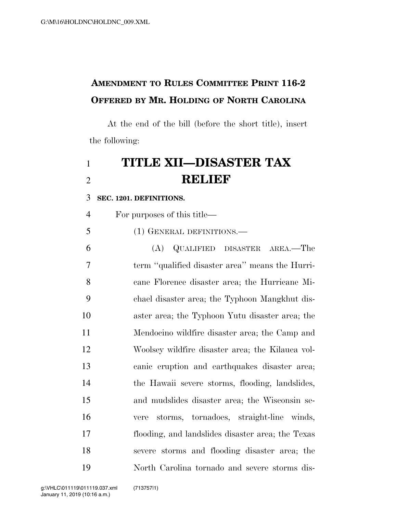## **AMENDMENT TO RULES COMMITTEE PRINT 116-2 OFFERED BY MR. HOLDING OF NORTH CAROLINA**

At the end of the bill (before the short title), insert the following:

# **TITLE XII—DISASTER TAX RELIEF**

**SEC. 1201. DEFINITIONS.** 

| $\overline{4}$ | For purposes of this title—                       |
|----------------|---------------------------------------------------|
| 5              | (1) GENERAL DEFINITIONS.—                         |
| 6              | (A) QUALIFIED DISASTER AREA.—The                  |
| $\overline{7}$ | term "qualified disaster area" means the Hurri-   |
| 8              | cane Florence disaster area; the Hurricane Mi-    |
| 9              | chael disaster area; the Typhoon Mangkhut dis-    |
| 10             | aster area; the Typhoon Yutu disaster area; the   |
| 11             | Mendocino wildfire disaster area; the Camp and    |
| 12             | Woolsey wildfire disaster area; the Kilauea vol-  |
| 13             | canic eruption and earthquakes disaster area;     |
| 14             | the Hawaii severe storms, flooding, landslides,   |
| 15             | and mudslides disaster area; the Wisconsin se-    |
| 16             | storms, tornadoes, straight-line winds,<br>vere   |
| 17             | flooding, and landslides disaster area; the Texas |
| 18             | severe storms and flooding disaster area; the     |
| 19             | North Carolina tornado and severe storms dis-     |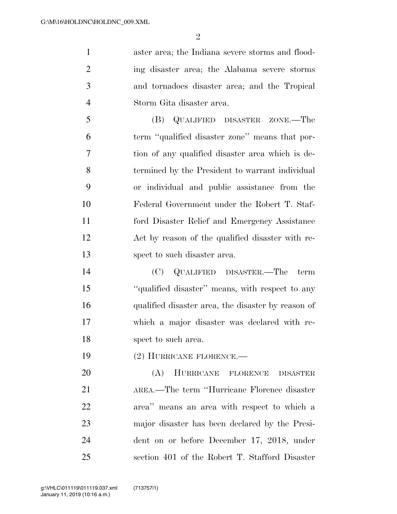$\mathfrak{D}$ 

 aster area; the Indiana severe storms and flood- ing disaster area; the Alabama severe storms and tornadoes disaster area; and the Tropical Storm Gita disaster area.

 (B) QUALIFIED DISASTER ZONE.—The term ''qualified disaster zone'' means that por- tion of any qualified disaster area which is de- termined by the President to warrant individual or individual and public assistance from the Federal Government under the Robert T. Staf- ford Disaster Relief and Emergency Assistance Act by reason of the qualified disaster with re-spect to such disaster area.

 (C) QUALIFIED DISASTER.—The term ''qualified disaster'' means, with respect to any qualified disaster area, the disaster by reason of which a major disaster was declared with re-18 spect to such area.

(2) HURRICANE FLORENCE.—

 (A) HURRICANE FLORENCE DISASTER AREA.—The term ''Hurricane Florence disaster area'' means an area with respect to which a major disaster has been declared by the Presi- dent on or before December 17, 2018, under section 401 of the Robert T. Stafford Disaster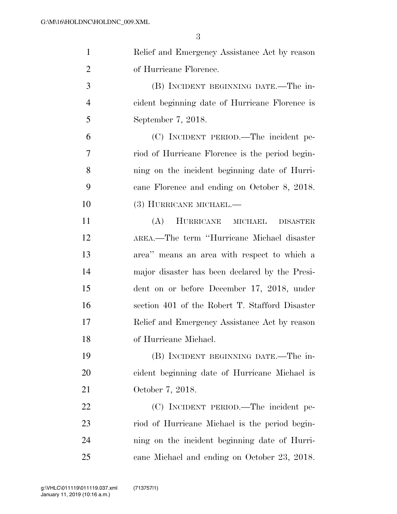| $\mathbf{1}$   | Relief and Emergency Assistance Act by reason   |
|----------------|-------------------------------------------------|
| $\overline{2}$ | of Hurricane Florence.                          |
| 3              | (B) INCIDENT BEGINNING DATE.—The in-            |
| $\overline{4}$ | cident beginning date of Hurricane Florence is  |
| 5              | September 7, 2018.                              |
| 6              | (C) INCIDENT PERIOD.—The incident pe-           |
| 7              | riod of Hurricane Florence is the period begin- |
| 8              | ning on the incident beginning date of Hurri-   |
| 9              | cane Florence and ending on October 8, 2018.    |
| 10             | (3) HURRICANE MICHAEL.—                         |
| 11             | (A)<br>HURRICANE<br>MICHAEL<br><b>DISASTER</b>  |
| 12             | AREA.-The term "Hurricane Michael disaster      |
| 13             | area" means an area with respect to which a     |
| 14             | major disaster has been declared by the Presi-  |
| 15             | dent on or before December 17, 2018, under      |
| 16             | section 401 of the Robert T. Stafford Disaster  |
| 17             | Relief and Emergency Assistance Act by reason   |
| 18             | of Hurricane Michael.                           |
| 19             | (B) INCIDENT BEGINNING DATE.—The in-            |
| 20             | cident beginning date of Hurricane Michael is   |
| 21             | October 7, 2018.                                |
| 22             | (C) INCIDENT PERIOD.—The incident pe-           |
| 23             | riod of Hurricane Michael is the period begin-  |
| 24             | ning on the incident beginning date of Hurri-   |
| 25             | cane Michael and ending on October 23, 2018.    |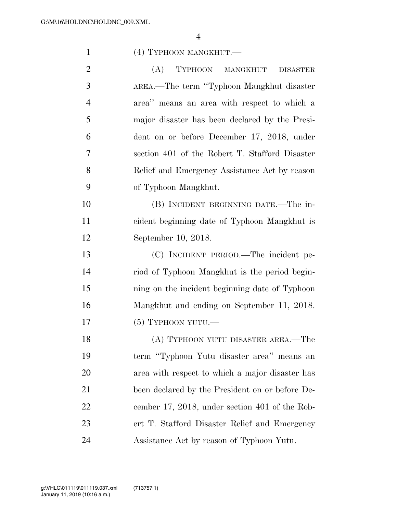| $\mathbf{1}$   | (4) TYPHOON MANGKHUT.—                          |
|----------------|-------------------------------------------------|
| $\overline{2}$ | (A)<br>TYPHOON MANGKHUT<br><b>DISASTER</b>      |
| 3              | AREA.—The term "Typhoon Mangkhut disaster       |
| $\overline{4}$ | area" means an area with respect to which a     |
| 5              | major disaster has been declared by the Presi-  |
| 6              | dent on or before December 17, 2018, under      |
| 7              | section 401 of the Robert T. Stafford Disaster  |
| 8              | Relief and Emergency Assistance Act by reason   |
| 9              | of Typhoon Mangkhut.                            |
| 10             | (B) INCIDENT BEGINNING DATE.—The in-            |
| 11             | cident beginning date of Typhoon Mangkhut is    |
| 12             | September 10, 2018.                             |
| 13             | (C) INCIDENT PERIOD.—The incident pe-           |
| 14             | riod of Typhoon Mangkhut is the period begin-   |
| 15             | ning on the incident beginning date of Typhoon  |
| 16             | Mangkhut and ending on September 11, 2018.      |
| 17             | $(5)$ TYPHOON YUTU.—                            |
| 18             | (A) TYPHOON YUTU DISASTER AREA.—The             |
| 19             | term "Typhoon Yutu disaster area" means an      |
| 20             | area with respect to which a major disaster has |
| 21             | been declared by the President on or before De- |
| 22             | cember 17, 2018, under section 401 of the Rob-  |
| 23             | ert T. Stafford Disaster Relief and Emergency   |
| 24             | Assistance Act by reason of Typhoon Yutu.       |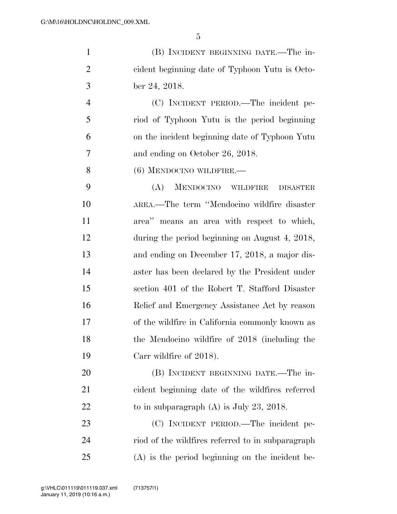|   | (B) INCIDENT BEGINNING DATE.—The in-           |
|---|------------------------------------------------|
| 2 | eident beginning date of Typhoon Yutu is Octo- |
| 3 | ber 24, 2018.                                  |
|   | (C) INCIDENT PERIOD.—The incident pe-          |
| 5 | riod of Typhoon Yutu is the period beginning   |
|   | on the incident beginning date of Typhoon Yutu |

and ending on October 26, 2018.

(6) MENDOCINO WILDFIRE.—

 (A) MENDOCINO WILDFIRE DISASTER AREA.—The term ''Mendocino wildfire disaster area'' means an area with respect to which, during the period beginning on August 4, 2018, and ending on December 17, 2018, a major dis- aster has been declared by the President under section 401 of the Robert T. Stafford Disaster Relief and Emergency Assistance Act by reason of the wildfire in California commonly known as the Mendocino wildfire of 2018 (including the 19 Carr wildfire of 2018).

 (B) INCIDENT BEGINNING DATE.—The in- cident beginning date of the wildfires referred 22 to in subparagraph (A) is July 23, 2018.

 (C) INCIDENT PERIOD.—The incident pe- riod of the wildfires referred to in subparagraph (A) is the period beginning on the incident be-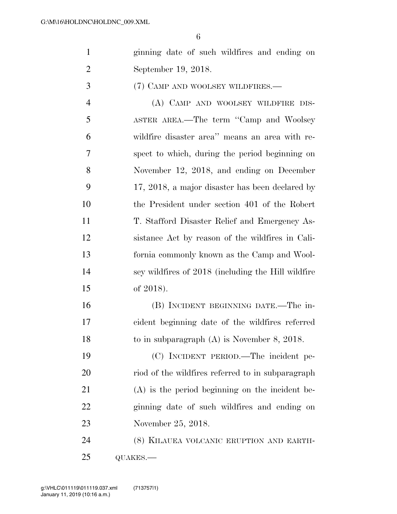- ginning date of such wildfires and ending on September 19, 2018.
- (7) CAMP AND WOOLSEY WILDFIRES.—

 (A) CAMP AND WOOLSEY WILDFIRE DIS- ASTER AREA.—The term ''Camp and Woolsey wildfire disaster area'' means an area with re- spect to which, during the period beginning on November 12, 2018, and ending on December 17, 2018, a major disaster has been declared by the President under section 401 of the Robert T. Stafford Disaster Relief and Emergency As- sistance Act by reason of the wildfires in Cali- fornia commonly known as the Camp and Wool- sey wildfires of 2018 (including the Hill wildfire of 2018).

 (B) INCIDENT BEGINNING DATE.—The in- cident beginning date of the wildfires referred to in subparagraph (A) is November 8, 2018.

 (C) INCIDENT PERIOD.—The incident pe- riod of the wildfires referred to in subparagraph (A) is the period beginning on the incident be- ginning date of such wildfires and ending on November 25, 2018.

 (8) KILAUEA VOLCANIC ERUPTION AND EARTH-QUAKES.—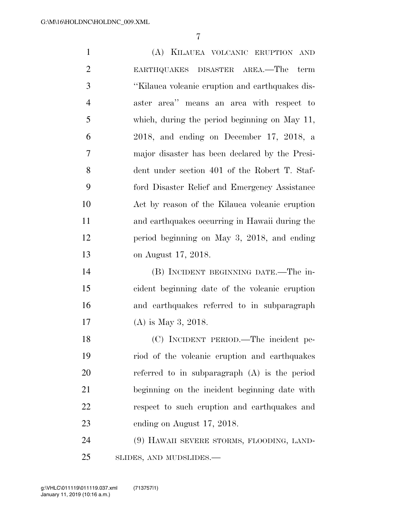(A) KILAUEA VOLCANIC ERUPTION AND EARTHQUAKES DISASTER AREA.—The term ''Kilauea volcanic eruption and earthquakes dis- aster area'' means an area with respect to which, during the period beginning on May 11, 2018, and ending on December 17, 2018, a major disaster has been declared by the Presi- dent under section 401 of the Robert T. Staf- ford Disaster Relief and Emergency Assistance Act by reason of the Kilauea volcanic eruption and earthquakes occurring in Hawaii during the period beginning on May 3, 2018, and ending on August 17, 2018. (B) INCIDENT BEGINNING DATE.—The in- cident beginning date of the volcanic eruption and earthquakes referred to in subparagraph (A) is May 3, 2018. (C) INCIDENT PERIOD.—The incident pe- riod of the volcanic eruption and earthquakes referred to in subparagraph (A) is the period beginning on the incident beginning date with respect to such eruption and earthquakes and 23 ending on August 17, 2018. (9) HAWAII SEVERE STORMS, FLOODING, LAND-SLIDES, AND MUDSLIDES.—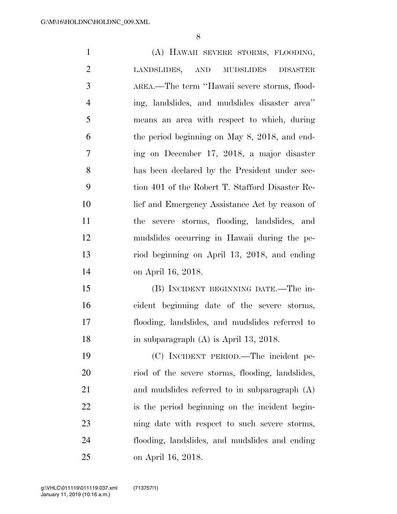(A) HAWAII SEVERE STORMS, FLOODING, LANDSLIDES, AND MUDSLIDES DISASTER AREA.—The term ''Hawaii severe storms, flood- ing, landslides, and mudslides disaster area'' means an area with respect to which, during the period beginning on May 8, 2018, and end- ing on December 17, 2018, a major disaster has been declared by the President under sec- tion 401 of the Robert T. Stafford Disaster Re- lief and Emergency Assistance Act by reason of the severe storms, flooding, landslides, and mudslides occurring in Hawaii during the pe- riod beginning on April 13, 2018, and ending on April 16, 2018. (B) INCIDENT BEGINNING DATE.—The in- cident beginning date of the severe storms, flooding, landslides, and mudslides referred to 18 in subparagraph (A) is April 13, 2018. (C) INCIDENT PERIOD.—The incident pe- riod of the severe storms, flooding, landslides, and mudslides referred to in subparagraph (A)

is the period beginning on the incident begin-

ning date with respect to such severe storms,

flooding, landslides, and mudslides and ending

January 11, 2019 (10:16 a.m.) g:\VHLC\011119\011119.037.xml (713757|1)

on April 16, 2018.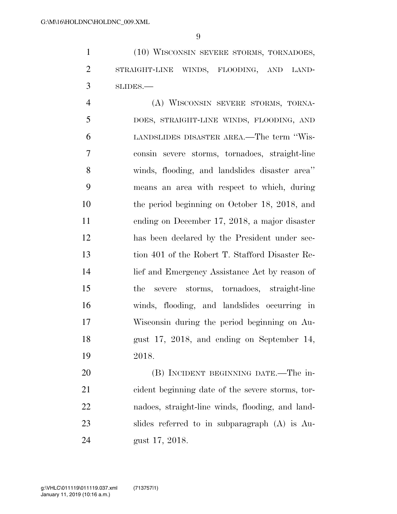(10) WISCONSIN SEVERE STORMS, TORNADOES, STRAIGHT-LINE WINDS, FLOODING, AND LAND-SLIDES.—

 (A) WISCONSIN SEVERE STORMS, TORNA- DOES, STRAIGHT-LINE WINDS, FLOODING, AND LANDSLIDES DISASTER AREA.—The term ''Wis- consin severe storms, tornadoes, straight-line winds, flooding, and landslides disaster area'' means an area with respect to which, during the period beginning on October 18, 2018, and ending on December 17, 2018, a major disaster has been declared by the President under sec- tion 401 of the Robert T. Stafford Disaster Re- lief and Emergency Assistance Act by reason of the severe storms, tornadoes, straight-line winds, flooding, and landslides occurring in Wisconsin during the period beginning on Au- gust 17, 2018, and ending on September 14, 2018.

 (B) INCIDENT BEGINNING DATE.—The in- cident beginning date of the severe storms, tor- nadoes, straight-line winds, flooding, and land- slides referred to in subparagraph (A) is Au-gust 17, 2018.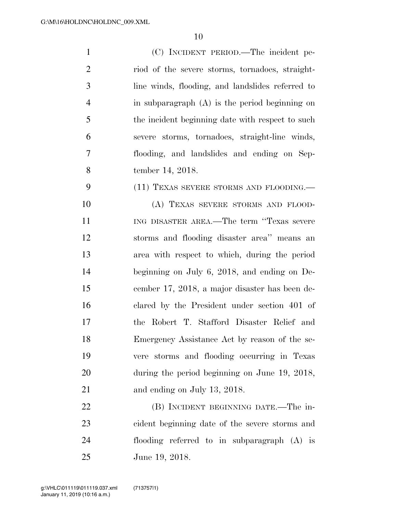| $\mathbf{1}$   | (C) INCIDENT PERIOD.—The incident pe-            |
|----------------|--------------------------------------------------|
| $\overline{2}$ | riod of the severe storms, tornadoes, straight-  |
| 3              | line winds, flooding, and landslides referred to |
| $\overline{4}$ | in subparagraph $(A)$ is the period beginning on |
| 5              | the incident beginning date with respect to such |
| 6              | severe storms, tornadoes, straight-line winds,   |
| 7              | flooding, and landslides and ending on Sep-      |
| 8              | tember 14, 2018.                                 |
| 9              | (11) TEXAS SEVERE STORMS AND FLOODING.—          |
| 10             | (A) TEXAS SEVERE STORMS AND FLOOD-               |
| 11             | ING DISASTER AREA.—The term "Texas severe        |
| 12             | storms and flooding disaster area" means an      |
| 13             | area with respect to which, during the period    |
| 14             | beginning on July 6, 2018, and ending on De-     |
| 15             | cember 17, 2018, a major disaster has been de-   |
| 16             | clared by the President under section 401 of     |
| 17             | Robert T. Stafford Disaster Relief and<br>the    |
| 18             | Emergency Assistance Act by reason of the se-    |
| 19             | vere storms and flooding occurring in Texas      |
| 20             | during the period beginning on June 19, 2018,    |
| 21             | and ending on July 13, 2018.                     |
| 22             | (B) INCIDENT BEGINNING DATE.—The in-             |
| 23             | cident beginning date of the severe storms and   |
| 24             | flooding referred to in subparagraph (A) is      |
| 25             | June 19, 2018.                                   |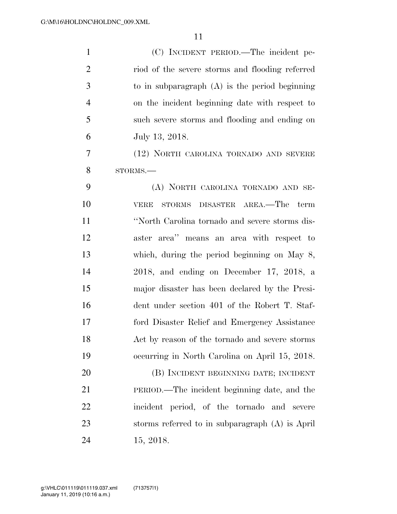| $\mathbf{1}$   | (C) INCIDENT PERIOD.—The incident pe-             |
|----------------|---------------------------------------------------|
| $\overline{2}$ | riod of the severe storms and flooding referred   |
| 3              | to in subparagraph $(A)$ is the period beginning  |
| $\overline{4}$ | on the incident beginning date with respect to    |
| 5              | such severe storms and flooding and ending on     |
| 6              | July 13, 2018.                                    |
| 7              | (12) NORTH CAROLINA TORNADO AND SEVERE            |
| 8              | STORMS.                                           |
| 9              | (A) NORTH CAROLINA TORNADO AND SE-                |
| 10             | VERE STORMS DISASTER AREA.—The term               |
| 11             | "North Carolina tornado and severe storms dis-    |
| 12             | aster area" means an area with respect to         |
| 13             | which, during the period beginning on May 8,      |
| 14             | 2018, and ending on December 17, 2018, a          |
| 15             | major disaster has been declared by the Presi-    |
| 16             | dent under section 401 of the Robert T. Staf-     |
| 17             | ford Disaster Relief and Emergency Assistance     |
| 18             | Act by reason of the tornado and severe storms    |
| 19             | occurring in North Carolina on April 15, 2018.    |
| 20             | (B) INCIDENT BEGINNING DATE; INCIDENT             |
| 21             | PERIOD.—The incident beginning date, and the      |
| 22             | incident period, of the tornado and severe        |
| 23             | storms referred to in subparagraph $(A)$ is April |
| 24             | 15, 2018.                                         |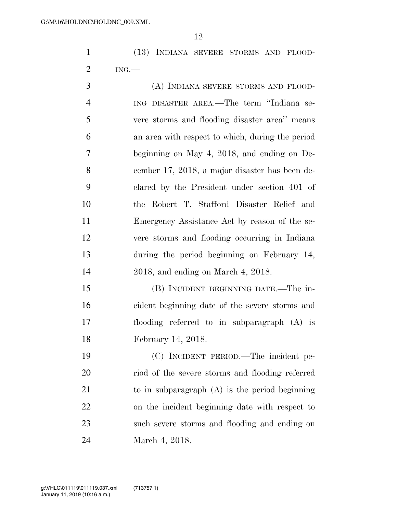(13) INDIANA SEVERE STORMS AND FLOOD-ING.—

 (A) INDIANA SEVERE STORMS AND FLOOD- ING DISASTER AREA.—The term ''Indiana se- vere storms and flooding disaster area'' means an area with respect to which, during the period beginning on May 4, 2018, and ending on De- cember 17, 2018, a major disaster has been de- clared by the President under section 401 of the Robert T. Stafford Disaster Relief and Emergency Assistance Act by reason of the se- vere storms and flooding occurring in Indiana during the period beginning on February 14, 2018, and ending on March 4, 2018.

 (B) INCIDENT BEGINNING DATE.—The in- cident beginning date of the severe storms and flooding referred to in subparagraph (A) is February 14, 2018.

 (C) INCIDENT PERIOD.—The incident pe- riod of the severe storms and flooding referred to in subparagraph (A) is the period beginning on the incident beginning date with respect to such severe storms and flooding and ending on March 4, 2018.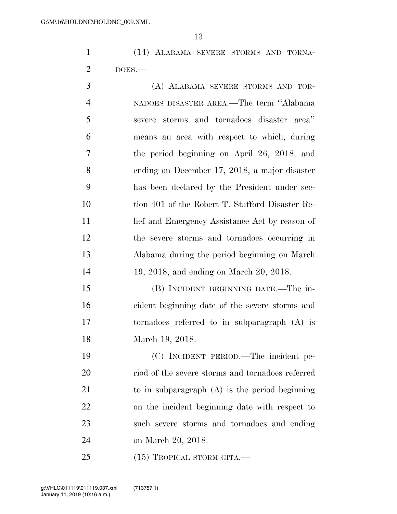(14) ALABAMA SEVERE STORMS AND TORNA-DOES.—

 (A) ALABAMA SEVERE STORMS AND TOR- NADOES DISASTER AREA.—The term ''Alabama severe storms and tornadoes disaster area'' means an area with respect to which, during the period beginning on April 26, 2018, and ending on December 17, 2018, a major disaster has been declared by the President under sec- tion 401 of the Robert T. Stafford Disaster Re-11 lief and Emergency Assistance Act by reason of the severe storms and tornadoes occurring in Alabama during the period beginning on March 19, 2018, and ending on March 20, 2018.

 (B) INCIDENT BEGINNING DATE.—The in- cident beginning date of the severe storms and tornadoes referred to in subparagraph (A) is March 19, 2018.

 (C) INCIDENT PERIOD.—The incident pe- riod of the severe storms and tornadoes referred to in subparagraph (A) is the period beginning on the incident beginning date with respect to such severe storms and tornadoes and ending on March 20, 2018.

25 (15) TROPICAL STORM GITA.—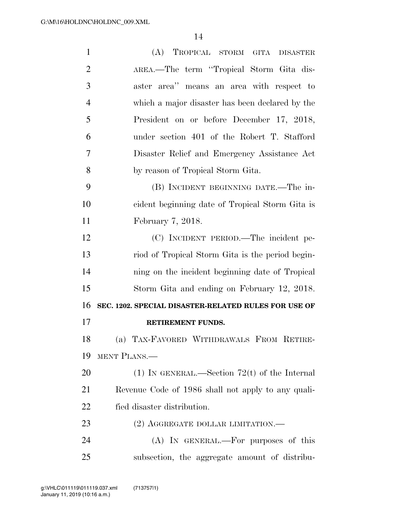| $\mathbf{1}$   | (A) TROPICAL STORM GITA DISASTER                     |
|----------------|------------------------------------------------------|
| $\overline{2}$ | AREA.—The term "Tropical Storm Gita dis-             |
| 3              | aster area" means an area with respect to            |
| $\overline{4}$ | which a major disaster has been declared by the      |
| 5              | President on or before December 17, 2018,            |
| 6              | under section 401 of the Robert T. Stafford          |
| $\overline{7}$ | Disaster Relief and Emergency Assistance Act         |
| 8              | by reason of Tropical Storm Gita.                    |
| 9              | (B) INCIDENT BEGINNING DATE.—The in-                 |
| 10             | cident beginning date of Tropical Storm Gita is      |
| 11             | February 7, 2018.                                    |
| 12             | (C) INCIDENT PERIOD.—The incident pe-                |
| 13             | riod of Tropical Storm Gita is the period begin-     |
| 14             | ning on the incident beginning date of Tropical      |
| 15             | Storm Gita and ending on February 12, 2018.          |
| 16             | SEC. 1202. SPECIAL DISASTER-RELATED RULES FOR USE OF |
| 17             | RETIREMENT FUNDS.                                    |
| 18             | (a) TAX-FAVORED WITHDRAWALS FROM RETIRE-             |
| 19             | MENT PLANS.—                                         |
| <b>20</b>      | (1) IN GENERAL.—Section 72(t) of the Internal        |
| 21             | Revenue Code of 1986 shall not apply to any quali-   |
| 22             | fied disaster distribution.                          |
| 23             | $(2)$ AGGREGATE DOLLAR LIMITATION.—                  |
| 24             | (A) IN GENERAL.—For purposes of this                 |
| 25             | subsection, the aggregate amount of distribu-        |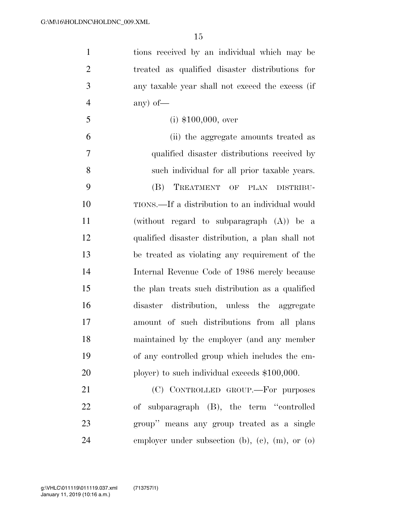| $\mathbf{1}$   | tions received by an individual which may be      |
|----------------|---------------------------------------------------|
| $\overline{2}$ | treated as qualified disaster distributions for   |
| 3              | any taxable year shall not exceed the excess (if  |
| $\overline{4}$ | any) of $-$                                       |
| 5              | $(i)$ \$100,000, over                             |
| 6              | (ii) the aggregate amounts treated as             |
| $\tau$         | qualified disaster distributions received by      |
| 8              | such individual for all prior taxable years.      |
| 9              | TREATMENT OF PLAN DISTRIBU-<br>(B)                |
| 10             | TIONS.—If a distribution to an individual would   |
| 11             | (without regard to subparagraph $(A)$ ) be a      |
| 12             | qualified disaster distribution, a plan shall not |
| 13             | be treated as violating any requirement of the    |
| 14             | Internal Revenue Code of 1986 merely because      |
| 15             | the plan treats such distribution as a qualified  |
| 16             | disaster distribution, unless the aggregate       |
| 17             | amount of such distributions from all plans       |
| 18             | maintained by the employer (and any member        |
| 19             | of any controlled group which includes the em-    |
| 20             | ployer) to such individual exceeds $$100,000$ .   |
| 21             | (C) CONTROLLED GROUP.—For purposes                |
| 22             | of subparagraph (B), the term "controlled         |
| 23             | group" means any group treated as a single        |
| 24             | employer under subsection (b), (c), (m), or (o)   |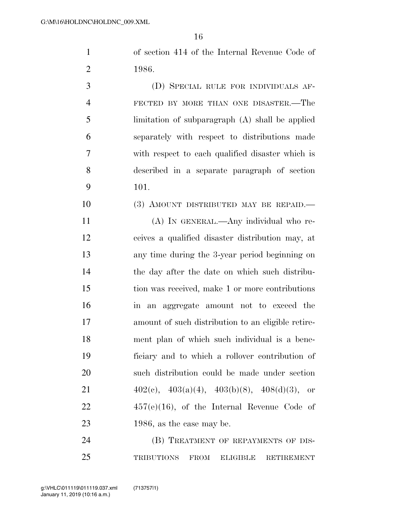of section 414 of the Internal Revenue Code of 1986.

 (D) SPECIAL RULE FOR INDIVIDUALS AF- FECTED BY MORE THAN ONE DISASTER.—The limitation of subparagraph (A) shall be applied separately with respect to distributions made with respect to each qualified disaster which is described in a separate paragraph of section 101.

10 (3) AMOUNT DISTRIBUTED MAY BE REPAID.

 (A) IN GENERAL.—Any individual who re- ceives a qualified disaster distribution may, at any time during the 3-year period beginning on the day after the date on which such distribu- tion was received, make 1 or more contributions in an aggregate amount not to exceed the amount of such distribution to an eligible retire- ment plan of which such individual is a bene- ficiary and to which a rollover contribution of such distribution could be made under section  $402(c)$ ,  $403(a)(4)$ ,  $403(b)(8)$ ,  $408(d)(3)$ , or 457(e)(16), of the Internal Revenue Code of 23 1986, as the case may be.

24 (B) TREATMENT OF REPAYMENTS OF DIS-TRIBUTIONS FROM ELIGIBLE RETIREMENT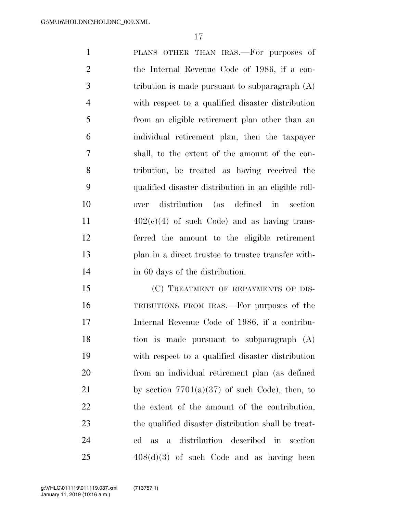PLANS OTHER THAN IRAS.—For purposes of the Internal Revenue Code of 1986, if a con- tribution is made pursuant to subparagraph (A) with respect to a qualified disaster distribution from an eligible retirement plan other than an individual retirement plan, then the taxpayer shall, to the extent of the amount of the con- tribution, be treated as having received the qualified disaster distribution in an eligible roll- over distribution (as defined in section  $402(e)(4)$  of such Code) and as having trans- ferred the amount to the eligible retirement plan in a direct trustee to trustee transfer with-14 in 60 days of the distribution.

15 (C) TREATMENT OF REPAYMENTS OF DIS- TRIBUTIONS FROM IRAS.—For purposes of the Internal Revenue Code of 1986, if a contribu- tion is made pursuant to subparagraph (A) with respect to a qualified disaster distribution from an individual retirement plan (as defined 21 by section  $7701(a)(37)$  of such Code), then, to the extent of the amount of the contribution, the qualified disaster distribution shall be treat- ed as a distribution described in section  $408(d)(3)$  of such Code and as having been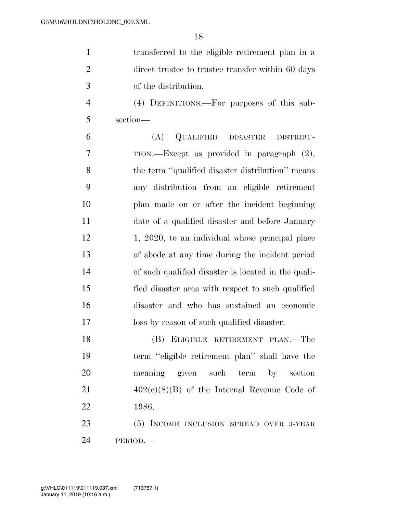|               | transferred to the eligible retirement plan in a  |
|---------------|---------------------------------------------------|
| $\mathcal{D}$ | direct trustee to trustee transfer within 60 days |
| $\mathcal{R}$ | of the distribution.                              |

 (4) DEFINITIONS.—For purposes of this sub-section—

 (A) QUALIFIED DISASTER DISTRIBU- TION.—Except as provided in paragraph (2), the term ''qualified disaster distribution'' means any distribution from an eligible retirement plan made on or after the incident beginning date of a qualified disaster and before January 12 1, 2020, to an individual whose principal place of abode at any time during the incident period of such qualified disaster is located in the quali- fied disaster area with respect to such qualified disaster and who has sustained an economic loss by reason of such qualified disaster.

 (B) ELIGIBLE RETIREMENT PLAN.—The term ''eligible retirement plan'' shall have the meaning given such term by section  $402(c)(8)(B)$  of the Internal Revenue Code of 1986.

23 (5) INCOME INCLUSION SPREAD OVER 3-YEAR PERIOD.—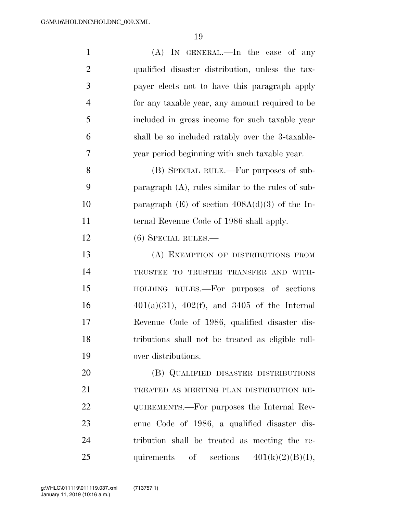| $\mathbf{1}$   | $(A)$ In GENERAL.—In the case of any                 |
|----------------|------------------------------------------------------|
| $\overline{2}$ | qualified disaster distribution, unless the tax-     |
| 3              | payer elects not to have this paragraph apply        |
| $\overline{4}$ | for any taxable year, any amount required to be      |
| 5              | included in gross income for such taxable year       |
| 6              | shall be so included ratably over the 3-taxable-     |
| 7              | year period beginning with such taxable year.        |
| 8              | (B) SPECIAL RULE.—For purposes of sub-               |
| 9              | paragraph $(A)$ , rules similar to the rules of sub- |
| 10             | paragraph $(E)$ of section $408A(d)(3)$ of the In-   |
| 11             | ternal Revenue Code of 1986 shall apply.             |
| 12             | $(6)$ SPECIAL RULES.—                                |
| 13             | (A) EXEMPTION OF DISTRIBUTIONS FROM                  |
| 14             | TRUSTEE TO TRUSTEE TRANSFER AND WITH-                |
| 15             | HOLDING RULES.—For purposes of sections              |
| 16             | $401(a)(31)$ , $402(f)$ , and $3405$ of the Internal |
| 17             | Revenue Code of 1986, qualified disaster dis-        |
| 18             | tributions shall not be treated as eligible roll-    |
| 19             | over distributions.                                  |
| 20             | (B) QUALIFIED DISASTER DISTRIBUTIONS                 |
| 21             | TREATED AS MEETING PLAN DISTRIBUTION RE-             |
| 22             | QUIREMENTS.—For purposes the Internal Rev-           |
| 23             | enue Code of 1986, a qualified disaster dis-         |
| 24             | tribution shall be treated as meeting the re-        |
| 25             | quirements of sections $401(k)(2)(B)(I)$ ,           |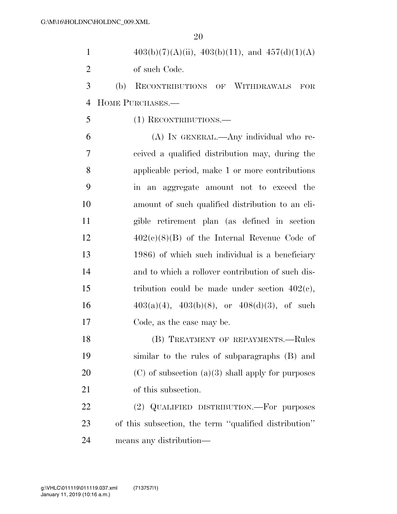| $403(b)(7)(A)(ii)$ , $403(b)(11)$ , and $457(d)(1)(A)$ |
|--------------------------------------------------------|
| of such Code.                                          |

 (b) RECONTRIBUTIONS OF WITHDRAWALS FOR HOME PURCHASES.—

(1) RECONTRIBUTIONS.—

 (A) IN GENERAL.—Any individual who re- ceived a qualified distribution may, during the applicable period, make 1 or more contributions in an aggregate amount not to exceed the amount of such qualified distribution to an eli- gible retirement plan (as defined in section  $12 \qquad \qquad 402(c)(8)(B)$  of the Internal Revenue Code of 1986) of which such individual is a beneficiary and to which a rollover contribution of such dis-15 tribution could be made under section  $402(e)$ ,  $403(a)(4)$ ,  $403(b)(8)$ , or  $408(d)(3)$ , of such Code, as the case may be.

18 (B) TREATMENT OF REPAYMENTS. Rules similar to the rules of subparagraphs (B) and 20  $(C)$  of subsection (a)(3) shall apply for purposes 21 of this subsection.

22 (2) QUALIFIED DISTRIBUTION.—For purposes of this subsection, the term ''qualified distribution'' means any distribution—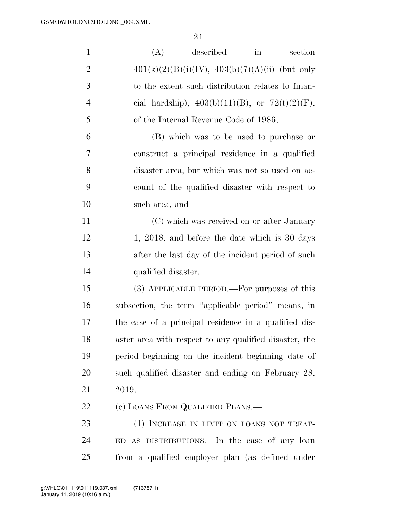| $\mathbf{1}$   | (A)<br>described<br>section<br>in                      |
|----------------|--------------------------------------------------------|
| $\overline{2}$ | $401(k)(2)(B)(i)(IV), 403(b)(7)(A)(ii)$ (but only      |
| 3              | to the extent such distribution relates to finan-      |
| $\overline{4}$ | cial hardship), $403(b)(11)(B)$ , or $72(t)(2)(F)$ ,   |
| 5              | of the Internal Revenue Code of 1986,                  |
| 6              | (B) which was to be used to purchase or                |
| 7              | construct a principal residence in a qualified         |
| 8              | disaster area, but which was not so used on ac-        |
| 9              | count of the qualified disaster with respect to        |
| 10             | such area, and                                         |
| 11             | (C) which was received on or after January             |
| 12             | 1, 2018, and before the date which is 30 days          |
| 13             | after the last day of the incident period of such      |
| 14             | qualified disaster.                                    |
| 15             | (3) APPLICABLE PERIOD.—For purposes of this            |
| 16             | subsection, the term "applicable period" means, in     |
| 17             | the case of a principal residence in a qualified dis-  |
| 18             | aster area with respect to any qualified disaster, the |
| 19             | period beginning on the incident beginning date of     |
| 20             | such qualified disaster and ending on February 28,     |
| 21             | 2019.                                                  |
| 22             | (c) LOANS FROM QUALIFIED PLANS.—                       |
| 23             | (1) INCREASE IN LIMIT ON LOANS NOT TREAT-              |
| 24             | ED AS DISTRIBUTIONS.—In the case of any loan           |
| 25             | from a qualified employer plan (as defined under       |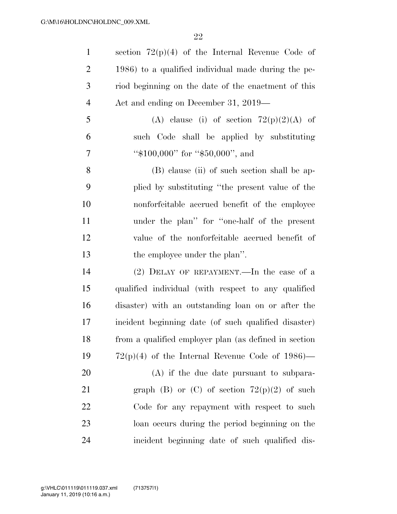| $\mathbf{1}$   | section $72(p)(4)$ of the Internal Revenue Code of    |
|----------------|-------------------------------------------------------|
| $\overline{2}$ | 1986) to a qualified individual made during the pe-   |
| 3              | riod beginning on the date of the enactment of this   |
| $\overline{4}$ | Act and ending on December 31, 2019—                  |
| 5              | (A) clause (i) of section $72(p)(2)(A)$ of            |
| 6              | such Code shall be applied by substituting            |
| 7              | " $$100,000"$ for " $$50,000"$ , and                  |
| 8              | (B) clause (ii) of such section shall be ap-          |
| 9              | plied by substituting "the present value of the       |
| 10             | nonforfeitable accrued benefit of the employee        |
| 11             | under the plan" for "one-half of the present          |
| 12             | value of the nonforfeitable accrued benefit of        |
| 13             | the employee under the plan".                         |
| 14             | $(2)$ DELAY OF REPAYMENT.—In the case of a            |
| 15             | qualified individual (with respect to any qualified   |
| 16             | disaster) with an outstanding loan on or after the    |
| 17             | incident beginning date (of such qualified disaster)  |
| 18             | from a qualified employer plan (as defined in section |
| 19             | $72(p)(4)$ of the Internal Revenue Code of 1986)—     |
| 20             | $(A)$ if the due date pursuant to subpara-            |
| 21             | graph (B) or (C) of section $72(p)(2)$ of such        |
| 22             | Code for any repayment with respect to such           |
| 23             | loan occurs during the period beginning on the        |
| 24             | incident beginning date of such qualified dis-        |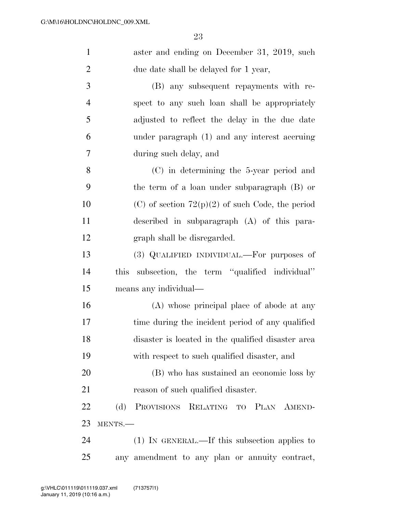| $\mathbf{1}$   | aster and ending on December 31, 2019, such                |
|----------------|------------------------------------------------------------|
| $\overline{2}$ | due date shall be delayed for 1 year,                      |
| 3              | (B) any subsequent repayments with re-                     |
| $\overline{4}$ | spect to any such loan shall be appropriately              |
| 5              | adjusted to reflect the delay in the due date              |
| 6              | under paragraph (1) and any interest accruing              |
| 7              | during such delay, and                                     |
| 8              | (C) in determining the 5-year period and                   |
| 9              | the term of a loan under subparagraph (B) or               |
| 10             | (C) of section $72(p)(2)$ of such Code, the period         |
| 11             | described in subparagraph (A) of this para-                |
| 12             | graph shall be disregarded.                                |
| 13             | (3) QUALIFIED INDIVIDUAL.—For purposes of                  |
| 14             | subsection, the term "qualified individual"<br><i>this</i> |
| 15             | means any individual—                                      |
| 16             | (A) whose principal place of abode at any                  |
| 17             | time during the incident period of any qualified           |
| 18             | disaster is located in the qualified disaster area         |
| 19             | with respect to such qualified disaster, and               |
| 20             | (B) who has sustained an economic loss by                  |
| 21             | reason of such qualified disaster.                         |
| 22             | PROVISIONS RELATING TO PLAN AMEND-<br>(d)                  |
| 23             | MENTS.-                                                    |
| 24             | (1) IN GENERAL.—If this subsection applies to              |
| 25             | any amendment to any plan or annuity contract,             |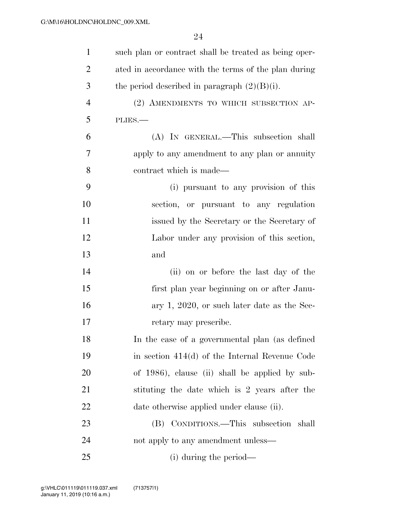| $\mathbf{1}$   | such plan or contract shall be treated as being oper- |
|----------------|-------------------------------------------------------|
| $\overline{2}$ | ated in accordance with the terms of the plan during  |
| 3              | the period described in paragraph $(2)(B)(i)$ .       |
| $\overline{4}$ | (2) AMENDMENTS TO WHICH SUBSECTION AP-                |
| 5              | PLIES.                                                |
| 6              | (A) IN GENERAL.—This subsection shall                 |
| $\overline{7}$ | apply to any amendment to any plan or annuity         |
| 8              | contract which is made—                               |
| 9              | (i) pursuant to any provision of this                 |
| 10             | section, or pursuant to any regulation                |
| 11             | issued by the Secretary or the Secretary of           |
| 12             | Labor under any provision of this section,            |
| 13             | and                                                   |
| 14             | (ii) on or before the last day of the                 |
| 15             | first plan year beginning on or after Janu-           |
| 16             | ary 1, 2020, or such later date as the Sec-           |
| 17             | retary may prescribe.                                 |
| 18             | In the case of a governmental plan (as defined        |
| 19             | in section $414(d)$ of the Internal Revenue Code      |
| 20             | of 1986), clause (ii) shall be applied by sub-        |
| 21             | stituting the date which is 2 years after the         |
| 22             | date otherwise applied under clause (ii).             |
| 23             | (B) CONDITIONS.—This subsection shall                 |
| 24             | not apply to any amendment unless—                    |
| 25             | (i) during the period—                                |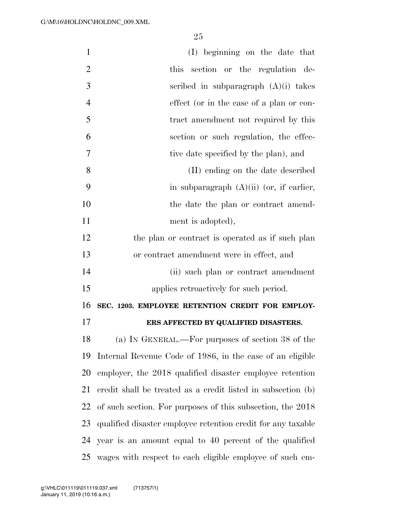| $\mathbf{1}$   | (I) beginning on the date that                               |
|----------------|--------------------------------------------------------------|
| $\overline{2}$ | this section or the regulation de-                           |
| 3              | scribed in subparagraph $(A)(i)$ takes                       |
| $\overline{4}$ | effect (or in the case of a plan or con-                     |
| 5              | tract amendment not required by this                         |
| 6              | section or such regulation, the effec-                       |
| 7              | tive date specified by the plan), and                        |
| 8              | (II) ending on the date described                            |
| 9              | in subparagraph $(A)(ii)$ (or, if earlier,                   |
| 10             | the date the plan or contract amend-                         |
| 11             | ment is adopted),                                            |
| 12             | the plan or contract is operated as if such plan             |
| 13             | or contract amendment were in effect, and                    |
| 14             | (ii) such plan or contract amendment                         |
| 15             | applies retroactively for such period.                       |
| 16             | SEC. 1203. EMPLOYEE RETENTION CREDIT FOR EMPLOY-             |
| 17             | ERS AFFECTED BY QUALIFIED DISASTERS.                         |
| 18             | (a) IN GENERAL.—For purposes of section 38 of the            |
| 19             | Internal Revenue Code of 1986, in the case of an eligible    |
| 20             | employer, the 2018 qualified disaster employee retention     |
| 21             | credit shall be treated as a credit listed in subsection (b) |
| 22             | of such section. For purposes of this subsection, the 2018   |
| 23             | qualified disaster employee retention credit for any taxable |
| 24             | year is an amount equal to 40 percent of the qualified       |
| 25             | wages with respect to each eligible employee of such em-     |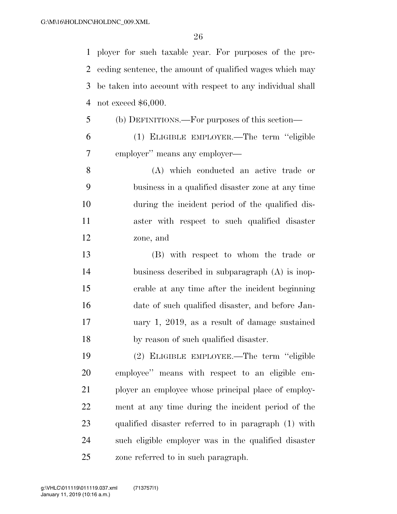ployer for such taxable year. For purposes of the pre- ceding sentence, the amount of qualified wages which may be taken into account with respect to any individual shall not exceed \$6,000.

- (b) DEFINITIONS.—For purposes of this section—
- (1) ELIGIBLE EMPLOYER.—The term ''eligible employer'' means any employer—
- (A) which conducted an active trade or business in a qualified disaster zone at any time during the incident period of the qualified dis- aster with respect to such qualified disaster zone, and
- (B) with respect to whom the trade or business described in subparagraph (A) is inop- erable at any time after the incident beginning date of such qualified disaster, and before Jan- uary 1, 2019, as a result of damage sustained by reason of such qualified disaster.
- (2) ELIGIBLE EMPLOYEE.—The term ''eligible employee'' means with respect to an eligible em- ployer an employee whose principal place of employ- ment at any time during the incident period of the qualified disaster referred to in paragraph (1) with such eligible employer was in the qualified disaster zone referred to in such paragraph.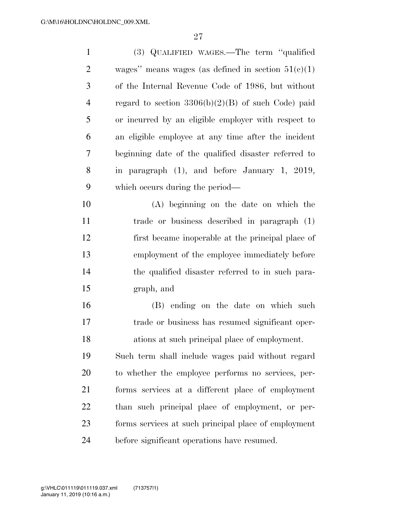| $\mathbf{1}$   | (3) QUALIFIED WAGES.—The term "qualified               |
|----------------|--------------------------------------------------------|
| $\overline{2}$ | wages" means wages (as defined in section $51(c)(1)$ ) |
| 3              | of the Internal Revenue Code of 1986, but without      |
| $\overline{4}$ | regard to section $3306(b)(2)(B)$ of such Code) paid   |
| 5              | or incurred by an eligible employer with respect to    |
| 6              | an eligible employee at any time after the incident    |
| 7              | beginning date of the qualified disaster referred to   |
| 8              | in paragraph $(1)$ , and before January 1, 2019,       |
| 9              | which occurs during the period—                        |
| 10             | (A) beginning on the date on which the                 |
| 11             | trade or business described in paragraph (1)           |
| 12             | first became inoperable at the principal place of      |
| 13             | employment of the employee immediately before          |
| 14             | the qualified disaster referred to in such para-       |
| 15             | graph, and                                             |
| 16             | (B) ending on the date on which such                   |
| 17             | trade or business has resumed significant oper-        |
| 18             | ations at such principal place of employment.          |
| 19             | Such term shall include wages paid without regard      |
| 20             | to whether the employee performs no services, per-     |
| 21             | forms services at a different place of employment      |
| 22             | than such principal place of employment, or per-       |
| 23             | forms services at such principal place of employment   |
| 24             | before significant operations have resumed.            |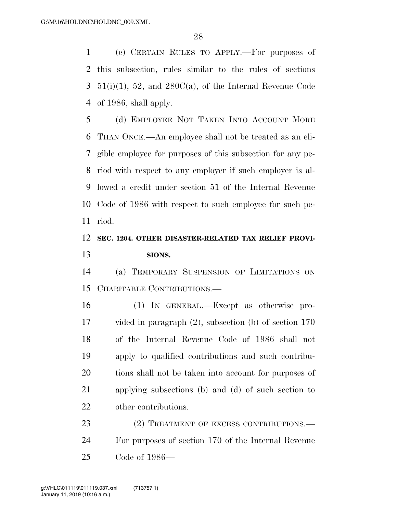(c) CERTAIN RULES TO APPLY.—For purposes of this subsection, rules similar to the rules of sections  $3\quad 51(i)(1),\ 52,$  and  $280C(a),\$  of the Internal Revenue Code of 1986, shall apply.

 (d) EMPLOYEE NOT TAKEN INTO ACCOUNT MORE THAN ONCE.—An employee shall not be treated as an eli- gible employee for purposes of this subsection for any pe- riod with respect to any employer if such employer is al- lowed a credit under section 51 of the Internal Revenue Code of 1986 with respect to such employee for such pe-riod.

### **SEC. 1204. OTHER DISASTER-RELATED TAX RELIEF PROVI-SIONS.**

 (a) TEMPORARY SUSPENSION OF LIMITATIONS ON CHARITABLE CONTRIBUTIONS.—

 (1) IN GENERAL.—Except as otherwise pro- vided in paragraph (2), subsection (b) of section 170 of the Internal Revenue Code of 1986 shall not apply to qualified contributions and such contribu- tions shall not be taken into account for purposes of applying subsections (b) and (d) of such section to other contributions.

23 (2) TREATMENT OF EXCESS CONTRIBUTIONS.— For purposes of section 170 of the Internal Revenue Code of 1986—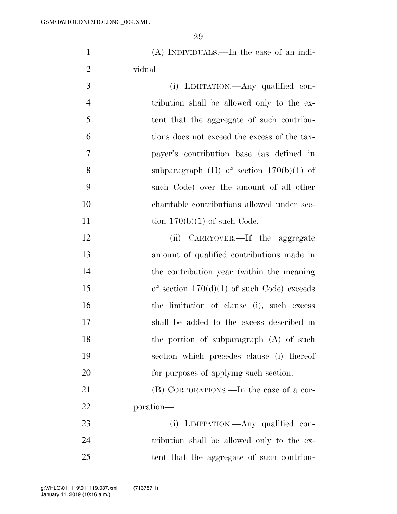(A) INDIVIDUALS.—In the case of an indi-vidual—

| $\overline{3}$ | (i) LIMITATION.—Any qualified con-                                                                                                                              |
|----------------|-----------------------------------------------------------------------------------------------------------------------------------------------------------------|
| $\overline{4}$ | tribution shall be allowed only to the ex-                                                                                                                      |
| $\overline{5}$ | tent that the aggregate of such contribu-                                                                                                                       |
| 6              | tions does not exceed the excess of the tax-                                                                                                                    |
| $\overline{7}$ | payer's contribution base (as defined in                                                                                                                        |
| 8              | subparagraph $(H)$ of section $170(b)(1)$ of                                                                                                                    |
| -9             | such Code) over the amount of all other                                                                                                                         |
| 10             | charitable contributions allowed under sec-                                                                                                                     |
| 11             | tion $170(b)(1)$ of such Code.                                                                                                                                  |
| $1^{\circ}$    | $\mathcal{C}^{\bullet}$ $\mathcal{C}^{\bullet}$ and $\mathcal{C}^{\bullet}$ and $\mathcal{C}^{\bullet}$ and $\mathcal{C}^{\bullet}$ and $\mathcal{C}^{\bullet}$ |

12 (ii) CARRYOVER.—If the aggregate amount of qualified contributions made in the contribution year (within the meaning 15 of section  $170(d)(1)$  of such Code) exceeds the limitation of clause (i), such excess shall be added to the excess described in 18 the portion of subparagraph (A) of such section which precedes clause (i) thereof for purposes of applying such section.

 (B) CORPORATIONS.—In the case of a cor-poration—

 (i) LIMITATION.—Any qualified con- tribution shall be allowed only to the ex-tent that the aggregate of such contribu-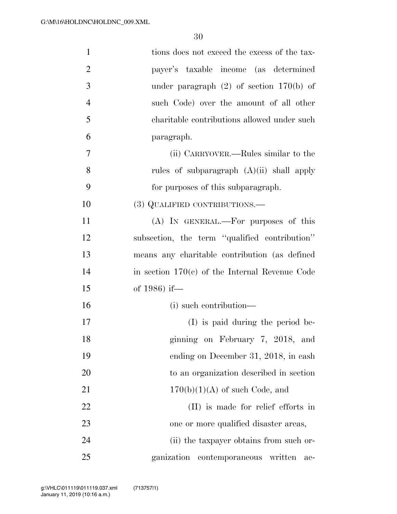| $\mathbf{1}$   | tions does not exceed the excess of the tax-     |
|----------------|--------------------------------------------------|
| $\overline{2}$ | payer's taxable income (as determined            |
| 3              | under paragraph $(2)$ of section 170(b) of       |
| $\overline{4}$ | such Code) over the amount of all other          |
| 5              | charitable contributions allowed under such      |
| 6              | paragraph.                                       |
| $\tau$         | (ii) CARRYOVER.—Rules similar to the             |
| 8              | rules of subparagraph $(A)(ii)$ shall apply      |
| 9              | for purposes of this subparagraph.               |
| 10             | (3) QUALIFIED CONTRIBUTIONS.—                    |
| 11             | (A) IN GENERAL.—For purposes of this             |
| 12             | subsection, the term "qualified contribution"    |
| 13             | means any charitable contribution (as defined    |
| 14             | in section $170(c)$ of the Internal Revenue Code |
| 15             | of 1986) if-                                     |
| 16             | (i) such contribution—                           |
| 17             | $(I)$ is paid during the period be-              |
| 18             | ginning on February 7, 2018, and                 |
| 19             | ending on December 31, 2018, in cash             |
| 20             | to an organization described in section          |
| 21             | $170(b)(1)(A)$ of such Code, and                 |
| 22             | (II) is made for relief efforts in               |
| 23             | one or more qualified disaster areas,            |
| 24             | (ii) the taxpayer obtains from such or-          |
| 25             | ganization<br>contemporaneous written<br>ac-     |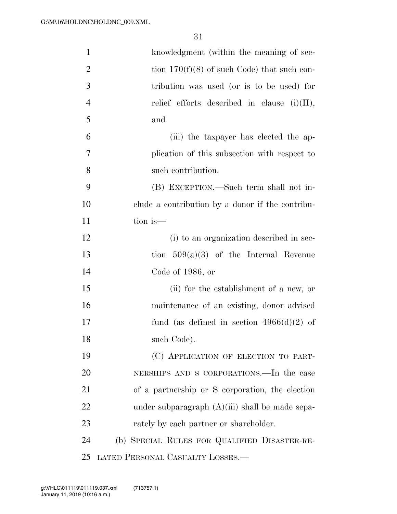| $\mathbf{1}$   | knowledgment (within the meaning of sec-          |
|----------------|---------------------------------------------------|
| $\overline{2}$ | tion $170(f)(8)$ of such Code) that such con-     |
| 3              | tribution was used (or is to be used) for         |
| $\overline{4}$ | relief efforts described in clause $(i)(II)$ ,    |
| 5              | and                                               |
| 6              | (iii) the taxpayer has elected the ap-            |
| 7              | plication of this subsection with respect to      |
| 8              | such contribution.                                |
| 9              | (B) EXCEPTION.—Such term shall not in-            |
| 10             | clude a contribution by a donor if the contribu-  |
| 11             | tion is—                                          |
| 12             | (i) to an organization described in sec-          |
| 13             | tion $509(a)(3)$ of the Internal Revenue          |
| 14             | Code of 1986, or                                  |
| 15             | (ii) for the establishment of a new, or           |
| 16             | maintenance of an existing, donor advised         |
| 17             | fund (as defined in section $4966(d)(2)$ of       |
| 18             | such Code).                                       |
| 19             | (C) APPLICATION OF ELECTION TO PART-              |
| 20             | NERSHIPS AND S CORPORATIONS.—In the case          |
| 21             | of a partnership or S corporation, the election   |
| 22             | under subparagraph $(A)(iii)$ shall be made sepa- |
| 23             | rately by each partner or shareholder.            |
| 24             | (b) SPECIAL RULES FOR QUALIFIED DISASTER-RE-      |
| 25             | LATED PERSONAL CASUALTY LOSSES.-                  |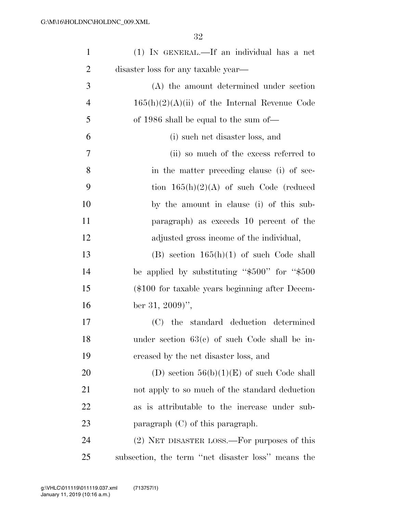| $\mathbf{1}$   | (1) IN GENERAL.—If an individual has a net          |
|----------------|-----------------------------------------------------|
| $\overline{2}$ | disaster loss for any taxable year—                 |
| 3              | (A) the amount determined under section             |
| $\overline{4}$ | $165(h)(2)(A)(ii)$ of the Internal Revenue Code     |
| 5              | of 1986 shall be equal to the sum of—               |
| 6              | (i) such net disaster loss, and                     |
| 7              | (ii) so much of the excess referred to              |
| 8              | in the matter preceding clause (i) of sec-          |
| 9              | tion $165(h)(2)(A)$ of such Code (reduced           |
| 10             | by the amount in clause (i) of this sub-            |
| 11             | paragraph) as exceeds 10 percent of the             |
| 12             | adjusted gross income of the individual,            |
| 13             | (B) section $165(h)(1)$ of such Code shall          |
| 14             | be applied by substituting " $$500"$ for " $$500$ " |
| 15             | (\$100 for taxable years beginning after Decem-     |
| 16             | ber 31, 2009)'',                                    |
| 17             | (C) the standard deduction determined               |
| 18             | under section $63(e)$ of such Code shall be in-     |
| 19             | creased by the net disaster loss, and               |
| 20             | (D) section $56(b)(1)(E)$ of such Code shall        |
| 21             | not apply to so much of the standard deduction      |
| 22             | as is attributable to the increase under sub-       |
| 23             | paragraph $(C)$ of this paragraph.                  |
| 24             | (2) NET DISASTER LOSS.—For purposes of this         |
| 25             | subsection, the term "net disaster loss" means the  |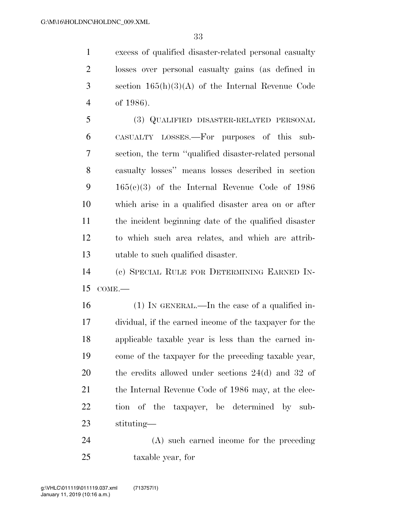excess of qualified disaster-related personal casualty losses over personal casualty gains (as defined in section 165(h)(3)(A) of the Internal Revenue Code of 1986).

 (3) QUALIFIED DISASTER-RELATED PERSONAL CASUALTY LOSSES.—For purposes of this sub- section, the term ''qualified disaster-related personal casualty losses'' means losses described in section 165(c)(3) of the Internal Revenue Code of 1986 which arise in a qualified disaster area on or after the incident beginning date of the qualified disaster to which such area relates, and which are attrib-utable to such qualified disaster.

 (c) SPECIAL RULE FOR DETERMINING EARNED IN-COME.—

 (1) IN GENERAL.—In the case of a qualified in- dividual, if the earned income of the taxpayer for the applicable taxable year is less than the earned in- come of the taxpayer for the preceding taxable year, the credits allowed under sections 24(d) and 32 of 21 the Internal Revenue Code of 1986 may, at the elec- tion of the taxpayer, be determined by sub-stituting—

 (A) such earned income for the preceding taxable year, for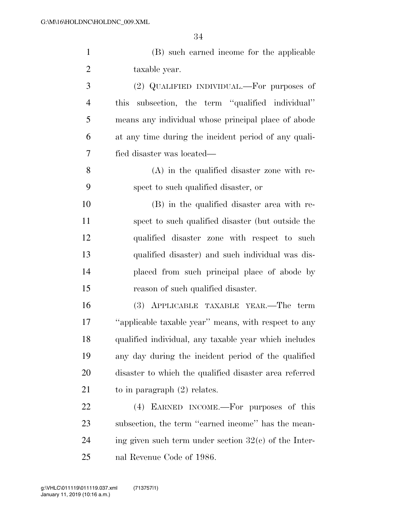|                | (B) such earned income for the applicable            |
|----------------|------------------------------------------------------|
| 2              | taxable year.                                        |
| 3              | $(2)$ QUALIFIED INDIVIDUAL.—For purposes of          |
| $\overline{4}$ | this subsection, the term "qualified individual"     |
| 5              | means any individual whose principal place of abode  |
| 6              | at any time during the incident period of any quali- |

 (A) in the qualified disaster zone with re-spect to such qualified disaster, or

fied disaster was located—

 (B) in the qualified disaster area with re- spect to such qualified disaster (but outside the qualified disaster zone with respect to such qualified disaster) and such individual was dis- placed from such principal place of abode by reason of such qualified disaster.

 (3) APPLICABLE TAXABLE YEAR.—The term ''applicable taxable year'' means, with respect to any qualified individual, any taxable year which includes any day during the incident period of the qualified disaster to which the qualified disaster area referred 21 to in paragraph (2) relates.

 (4) EARNED INCOME.—For purposes of this 23 subsection, the term "earned income" has the mean-24 ing given such term under section  $32(c)$  of the Inter-nal Revenue Code of 1986.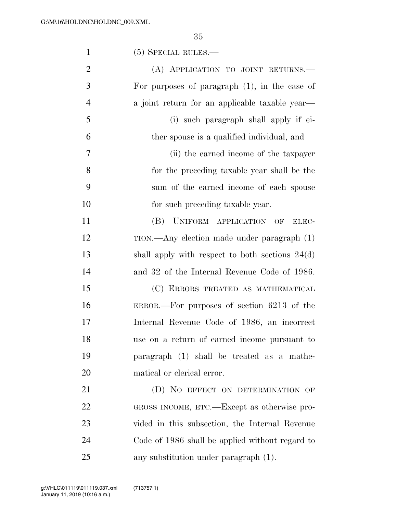| $\mathbf{1}$   | $(5)$ SPECIAL RULES.—                             |
|----------------|---------------------------------------------------|
| $\overline{2}$ | (A) APPLICATION TO JOINT RETURNS.                 |
| 3              | For purposes of paragraph $(1)$ , in the case of  |
| $\overline{4}$ | a joint return for an applicable taxable year—    |
| 5              | (i) such paragraph shall apply if ei-             |
| 6              | ther spouse is a qualified individual, and        |
| 7              | (ii) the earned income of the taxpayer            |
| 8              | for the preceding taxable year shall be the       |
| 9              | sum of the earned income of each spouse           |
| 10             | for such preceding taxable year.                  |
| 11             | UNIFORM APPLICATION OF<br>(B)<br>ELEC-            |
| 12             | $TION.$ Any election made under paragraph $(1)$   |
| 13             | shall apply with respect to both sections $24(d)$ |
| 14             | and 32 of the Internal Revenue Code of 1986.      |
| 15             | (C) ERRORS TREATED AS MATHEMATICAL                |
| 16             | ERROR.—For purposes of section $6213$ of the      |
| 17             | Internal Revenue Code of 1986, an incorrect       |
| 18             | use on a return of earned income pursuant to      |
| 19             | paragraph (1) shall be treated as a mathe-        |
| 20             | matical or clerical error.                        |
| 21             | (D) NO EFFECT ON DETERMINATION OF                 |
| 22             | GROSS INCOME, ETC.—Except as otherwise pro-       |
| 23             | vided in this subsection, the Internal Revenue    |
| 24             | Code of 1986 shall be applied without regard to   |
| 25             | any substitution under paragraph (1).             |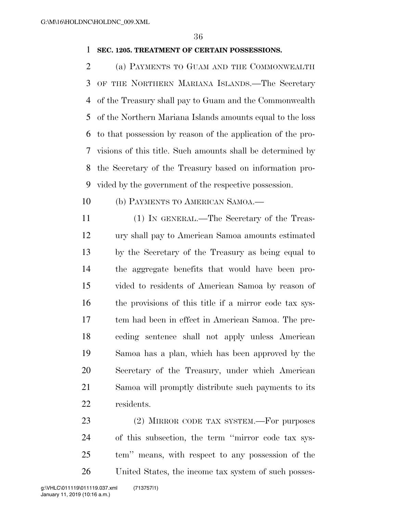#### **SEC. 1205. TREATMENT OF CERTAIN POSSESSIONS.**

 (a) PAYMENTS TO GUAM AND THE COMMONWEALTH OF THE NORTHERN MARIANA ISLANDS.—The Secretary of the Treasury shall pay to Guam and the Commonwealth of the Northern Mariana Islands amounts equal to the loss to that possession by reason of the application of the pro- visions of this title. Such amounts shall be determined by the Secretary of the Treasury based on information pro-vided by the government of the respective possession.

- (b) PAYMENTS TO AMERICAN SAMOA.—
- (1) IN GENERAL.—The Secretary of the Treas- ury shall pay to American Samoa amounts estimated by the Secretary of the Treasury as being equal to the aggregate benefits that would have been pro- vided to residents of American Samoa by reason of the provisions of this title if a mirror code tax sys- tem had been in effect in American Samoa. The pre- ceding sentence shall not apply unless American Samoa has a plan, which has been approved by the Secretary of the Treasury, under which American Samoa will promptly distribute such payments to its residents.

23 (2) MIRROR CODE TAX SYSTEM.—For purposes of this subsection, the term ''mirror code tax sys- tem'' means, with respect to any possession of the United States, the income tax system of such posses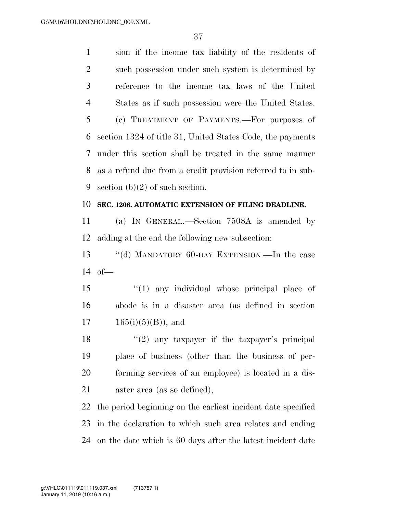sion if the income tax liability of the residents of such possession under such system is determined by reference to the income tax laws of the United States as if such possession were the United States. (c) TREATMENT OF PAYMENTS.—For purposes of section 1324 of title 31, United States Code, the payments under this section shall be treated in the same manner as a refund due from a credit provision referred to in sub-9 section  $(b)(2)$  of such section.

#### **SEC. 1206. AUTOMATIC EXTENSION OF FILING DEADLINE.**

 (a) IN GENERAL.—Section 7508A is amended by adding at the end the following new subsection:

 ''(d) MANDATORY 60-DAY EXTENSION.—In the case of—

 ''(1) any individual whose principal place of abode is in a disaster area (as defined in section  $17 \t165(i)(5)(B)$ , and

 $(2)$  any taxpayer if the taxpayer's principal place of business (other than the business of per- forming services of an employee) is located in a dis-aster area (as so defined),

 the period beginning on the earliest incident date specified in the declaration to which such area relates and ending on the date which is 60 days after the latest incident date